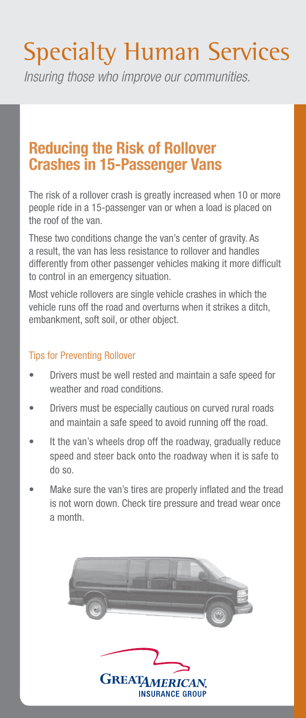# Specialty Human Services

*Insuring those who improve our communities.*

## Reducing the Risk of Rollover Crashes in 15-Passenger Vans

The risk of a rollover crash is greatly increased when 10 or more people ride in a 15-passenger van or when a load is placed on the roof of the van.

These two conditions change the van's center of gravity. As a result, the van has less resistance to rollover and handles differently from other passenger vehicles making it more difficult to control in an emergency situation.

Most vehicle rollovers are single vehicle crashes in which the vehicle runs off the road and overturns when it strikes a ditch, embankment, soft soil, or other object.

#### Tips for Preventing Rollover

- Drivers must be well rested and maintain a safe speed for weather and road conditions.
- Drivers must be especially cautious on curved rural roads and maintain a safe speed to avoid running off the road.
- It the van's wheels drop off the roadway, gradually reduce speed and steer back onto the roadway when it is safe to do so.
- Make sure the van's tires are properly inflated and the tread is not worn down. Check tire pressure and tread wear once a month.